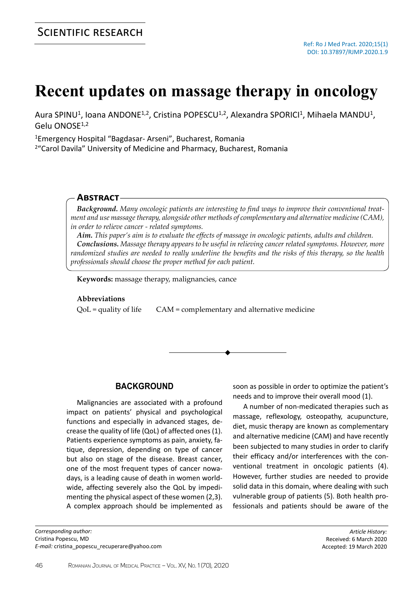# **Recent updates on massage therapy in oncology**

Aura SPINU<sup>1</sup>, Ioana ANDONE<sup>1,2</sup>, Cristina POPESCU<sup>1,2</sup>, Alexandra SPORICI<sup>1</sup>, Mihaela MANDU<sup>1</sup>, Gelu ONOSE1,2

<sup>1</sup>Emergency Hospital "Bagdasar- Arseni", Bucharest, Romania

<sup>2</sup>"Carol Davila" University of Medicine and Pharmacy, Bucharest, Romania

### **Abstract**

*Background. Many oncologic patients are interesting to find ways to improve their conventional treatment and use massage therapy, alongside other methods of complementary and alternative medicine (CAM), in order to relieve cancer - related symptoms.*

*Aim. This paper's aim is to evaluate the effects of massage in oncologic patients, adults and children. Conclusions. Massage therapy appears to be useful in relieving cancer related symptoms. However, more randomized studies are needed to really underline the benefits and the risks of this therapy, so the health professionals should choose the proper method for each patient.*

**Keywords:** massage therapy, malignancies, cance

#### **Abbreviations**

QoL = quality of life CAM = complementary and alternative medicine



### **BACKGROUND**

Malignancies are associated with a profound impact on patients' physical and psychological functions and especially in advanced stages, decrease the quality of life (QoL) of affected ones (1). Patients experience symptoms as pain, anxiety, fatique, depression, depending on type of cancer but also on stage of the disease. Breast cancer, one of the most frequent types of cancer nowadays, is a leading cause of death in women worldwide, affecting severely also the QoL by impedimenting the physical aspect of these women (2,3). A complex approach should be implemented as

*Corresponding author:* Cristina Popescu, MD *E-mail:* cristina\_popescu\_recuperare@yahoo.com soon as possible in order to optimize the patient's needs and to improve their overall mood (1).

A number of non-medicated therapies such as massage, reflexology, osteopathy, acupuncture, diet, music therapy are known as complementary and alternative medicine (CAM) and have recently been subjected to many studies in order to clarify their efficacy and/or interferences with the conventional treatment in oncologic patients (4). However, further studies are needed to provide solid data in this domain, where dealing with such vulnerable group of patients (5). Both health professionals and patients should be aware of the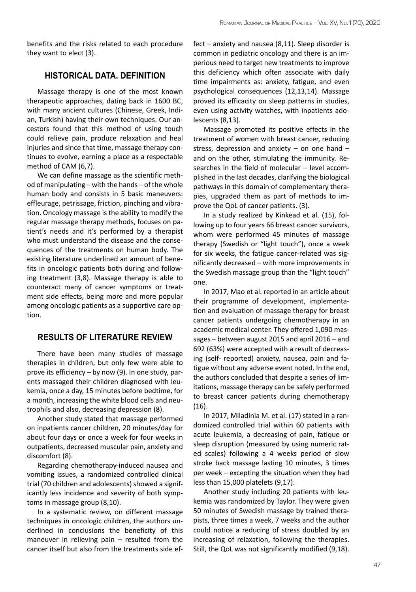benefits and the risks related to each procedure they want to elect (3).

### **HISTORICAL DATA. DEFINITION**

Massage therapy is one of the most known therapeutic approaches, dating back in 1600 BC, with many ancient cultures (Chinese, Greek, Indian, Turkish) having their own techniques. Our ancestors found that this method of using touch could relieve pain, produce relaxation and heal injuries and since that time, massage therapy continues to evolve, earning a place as a respectable method of CAM (6,7).

We can define massage as the scientific method of manipulating – with the hands – of the whole human body and consists in 5 basic maneuvers: effleurage, petrissage, friction, pinching and vibration. Oncology massage is the ability to modify the regular massage therapy methods, focuses on patient's needs and it's performed by a therapist who must understand the disease and the consequences of the treatments on human body. The existing literature underlined an amount of benefits in oncologic patients both during and following treatment (3,8). Massage therapy is able to counteract many of cancer symptoms or treatment side effects, being more and more popular among oncologic patients as a supportive care option.

## **RESULTS OF LITERATURE REVIEW**

There have been many studies of massage therapies in children, but only few were able to prove its efficiency – by now (9). In one study, parents massaged their children diagnosed with leukemia, once a day, 15 minutes before bedtime, for a month, increasing the white blood cells and neutrophils and also, decreasing depression (8).

Another study stated that massage performed on inpatients cancer children, 20 minutes/day for about four days or once a week for four weeks in outpatients, decreased muscular pain, anxiety and discomfort (8).

Regarding chemotherapy-induced nausea and vomiting issues, a randomized controlled clinical trial (70 children and adolescents) showed a significantly less incidence and severity of both symptoms in massage group (8,10).

In a systematic review, on different massage techniques in oncologic children, the authors underlined in conclusions the beneficity of this maneuver in relieving pain – resulted from the cancer itself but also from the treatments side ef-

fect – anxiety and nausea (8,11). Sleep disorder is common in pediatric oncology and there is an imperious need to target new treatments to improve this deficiency which often associate with daily time impairments as: anxiety, fatigue, and even psychological consequences (12,13,14). Massage proved its efficacity on sleep patterns in studies, even using activity watches, with inpatients adolescents (8,13).

Massage promoted its positive effects in the treatment of women with breast cancer, reducing stress, depression and anxiety – on one hand – and on the other, stimulating the immunity. Researches in the field of molecular – level accomplished in the last decades, clarifying the biological pathways in this domain of complementary therapies, upgraded them as part of methods to improve the QoL of cancer patients. (3).

In a study realized by Kinkead et al. (15), following up to four years 66 breast cancer survivors, whom were performed 45 minutes of massage therapy (Swedish or "light touch"), once a week for six weeks, the fatigue cancer-related was significantly decreased – with more improvements in the Swedish massage group than the "light touch" one.

In 2017, Mao et al. reported in an article about their programme of development, implementation and evaluation of massage therapy for breast cancer patients undergoing chemotherapy in an academic medical center. They offered 1,090 massages – between august 2015 and april 2016 – and 692 (63%) were accepted with a result of decreasing (self- reported) anxiety, nausea, pain and fatigue without any adverse event noted. In the end, the authors concluded that despite a series of limitations, massage therapy can be safely performed to breast cancer patients during chemotherapy (16).

In 2017, Miladinia M. et al. (17) stated in a randomized controlled trial within 60 patients with acute leukemia, a decreasing of pain, fatique or sleep disruption (measured by using numeric rated scales) following a 4 weeks period of slow stroke back massage lasting 10 minutes, 3 times per week – excepting the situation when they had less than 15,000 platelets (9,17).

Another study including 20 patients with leukemia was randomized by Taylor. They were given 50 minutes of Swedish massage by trained therapists, three times a week, 7 weeks and the author could notice a reducing of stress doubled by an increasing of relaxation, following the therapies. Still, the QoL was not significantly modified (9,18).